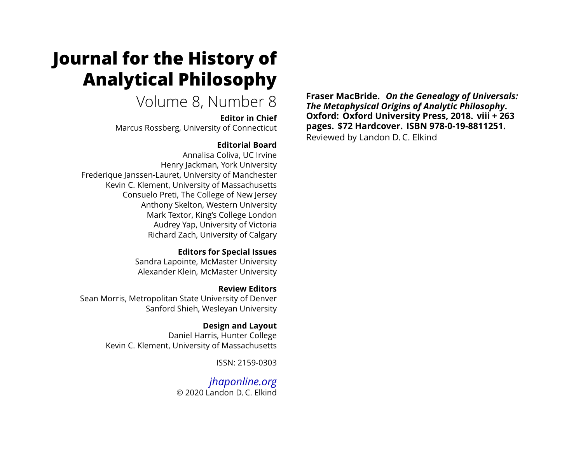# **Journal for the History of Analytical Philosophy**

# Volume 8, Number 8

**Editor in Chief** Marcus Rossberg, University of Connecticut

#### **Editorial Board**

Annalisa Coliva, UC Irvine Henry Jackman, York University Frederique Janssen-Lauret, University of Manchester Kevin C. Klement, University of Massachusetts Consuelo Preti, The College of New Jersey Anthony Skelton, Western University Mark Textor, King's College London Audrey Yap, University of Victoria Richard Zach, University of Calgary

#### **Editors for Special Issues**

Sandra Lapointe, McMaster University Alexander Klein, McMaster University

# **Review Editors**

Sean Morris, Metropolitan State University of Denver Sanford Shieh, Wesleyan University

### **Design and Layout**

Daniel Harris, Hunter College Kevin C. Klement, University of Massachusetts

ISSN: 2159-0303

*[jhaponline.org](https://jhaponline.org)* © 2020 Landon D. C. Elkind

**Fraser MacBride.** *On the Genealogy of Universals: The Metaphysical Origins of Analytic Philosophy***. Oxford: Oxford University Press, 2018. viii + 263 pages. \$72 Hardcover. ISBN 978-0-19-8811251.** Reviewed by Landon D. C. Elkind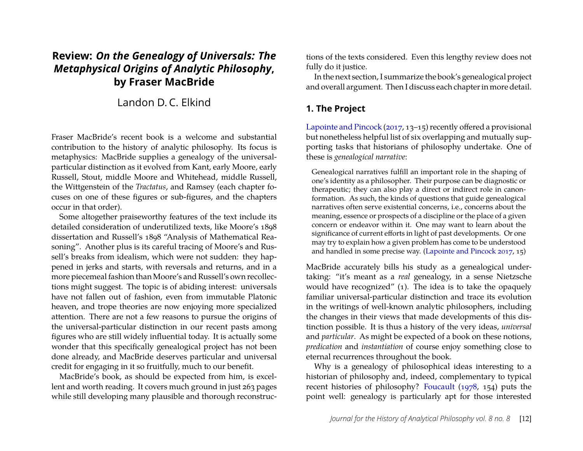## **Review:** *On the Genealogy of Universals: The Metaphysical Origins of Analytic Philosophy***, by Fraser MacBride**

Landon D. C. Elkind

Fraser MacBride's recent book is a welcome and substantial contribution to the history of analytic philosophy. Its focus is metaphysics: MacBride supplies a genealogy of the universalparticular distinction as it evolved from Kant, early Moore, early Russell, Stout, middle Moore and Whitehead, middle Russell, the Wittgenstein of the *Tractatus*, and Ramsey (each chapter focuses on one of these figures or sub-figures, and the chapters occur in that order).

Some altogether praiseworthy features of the text include its detailed consideration of underutilized texts, like Moore's 1898 dissertation and Russell's 1898 "Analysis of Mathematical Reasoning". Another plus is its careful tracing of Moore's and Russell's breaks from idealism, which were not sudden: they happened in jerks and starts, with reversals and returns, and in a more piecemeal fashion than Moore's and Russell's own recollections might suggest. The topic is of abiding interest: universals have not fallen out of fashion, even from immutable Platonic heaven, and trope theories are now enjoying more specialized attention. There are not a few reasons to pursue the origins of the universal-particular distinction in our recent pasts among figures who are still widely influential today. It is actually some wonder that this specifically genealogical project has not been done already, and MacBride deserves particular and universal credit for engaging in it so fruitfully, much to our benefit.

MacBride's book, as should be expected from him, is excellent and worth reading. It covers much ground in just 263 pages while still developing many plausible and thorough reconstructions of the texts considered. Even this lengthy review does not fully do it justice.

In the next section, I summarize the book's genealogical project and overall argument. Then I discuss each chapter in more detail.

#### **1. The Project**

[Lapointe and Pincock](#page-18-0) [\(2017,](#page-18-0) 13–15) recently offered a provisional but nonetheless helpful list of six overlapping and mutually supporting tasks that historians of philosophy undertake. One of these is *genealogical narrative*:

Genealogical narratives fulfill an important role in the shaping of one's identity as a philosopher. Their purpose can be diagnostic or therapeutic; they can also play a direct or indirect role in canonformation. As such, the kinds of questions that guide genealogical narratives often serve existential concerns, i.e., concerns about the meaning, essence or prospects of a discipline or the place of a given concern or endeavor within it. One may want to learn about the significance of current efforts in light of past developments. Or one may try to explain how a given problem has come to be understood and handled in some precise way. [\(Lapointe and Pincock 2017,](#page-18-0) 15)

MacBride accurately bills his study as a genealogical undertaking: "it's meant as a *real* genealogy, in a sense Nietzsche would have recognized" (1). The idea is to take the opaquely familiar universal-particular distinction and trace its evolution in the writings of well-known analytic philosophers, including the changes in their views that made developments of this distinction possible. It is thus a history of the very ideas, *universal* and *particular*. As might be expected of a book on these notions, *predication* and *instantiation* of course enjoy something close to eternal recurrences throughout the book.

Why is a genealogy of philosophical ideas interesting to a historian of philosophy and, indeed, complementary to typical recent histories of philosophy? [Foucault](#page-18-1) [\(1978,](#page-18-1) 154) puts the point well: genealogy is particularly apt for those interested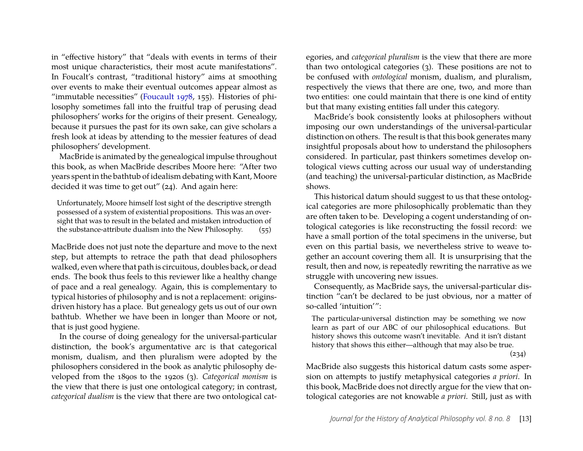in "effective history" that "deals with events in terms of their most unique characteristics, their most acute manifestations". In Foucalt's contrast, "traditional history" aims at smoothing over events to make their eventual outcomes appear almost as "immutable necessities" [\(Foucault 1978,](#page-18-1) 155). Histories of philosophy sometimes fall into the fruitful trap of perusing dead philosophers' works for the origins of their present. Genealogy, because it pursues the past for its own sake, can give scholars a fresh look at ideas by attending to the messier features of dead philosophers' development.

MacBride is animated by the genealogical impulse throughout this book, as when MacBride describes Moore here: "After two years spent in the bathtub of idealism debating with Kant, Moore decided it was time to get out" (24). And again here:

Unfortunately, Moore himself lost sight of the descriptive strength possessed of a system of existential propositions. This was an oversight that was to result in the belated and mistaken introduction of the substance-attribute dualism into the New Philosophy. (55)

MacBride does not just note the departure and move to the next step, but attempts to retrace the path that dead philosophers walked, even where that path is circuitous, doubles back, or dead ends. The book thus feels to this reviewer like a healthy change of pace and a real genealogy. Again, this is complementary to typical histories of philosophy and is not a replacement: originsdriven history has a place. But genealogy gets us out of our own bathtub. Whether we have been in longer than Moore or not, that is just good hygiene.

In the course of doing genealogy for the universal-particular distinction, the book's argumentative arc is that categorical monism, dualism, and then pluralism were adopted by the philosophers considered in the book as analytic philosophy developed from the 1890s to the 1920s (3). *Categorical monism* is the view that there is just one ontological category; in contrast, *categorical dualism* is the view that there are two ontological categories, and *categorical pluralism* is the view that there are more than two ontological categories (3). These positions are not to be confused with *ontological* monism, dualism, and pluralism, respectively the views that there are one, two, and more than two entities: one could maintain that there is one kind of entity but that many existing entities fall under this category.

MacBride's book consistently looks at philosophers without imposing our own understandings of the universal-particular distinction on others. The result is that this book generates many insightful proposals about how to understand the philosophers considered. In particular, past thinkers sometimes develop ontological views cutting across our usual way of understanding (and teaching) the universal-particular distinction, as MacBride shows.

This historical datum should suggest to us that these ontological categories are more philosophically problematic than they are often taken to be. Developing a cogent understanding of ontological categories is like reconstructing the fossil record: we have a small portion of the total specimens in the universe, but even on this partial basis, we nevertheless strive to weave together an account covering them all. It is unsurprising that the result, then and now, is repeatedly rewriting the narrative as we struggle with uncovering new issues.

Consequently, as MacBride says, the universal-particular distinction "can't be declared to be just obvious, nor a matter of so-called 'intuition'":

The particular-universal distinction may be something we now learn as part of our ABC of our philosophical educations. But history shows this outcome wasn't inevitable. And it isn't distant history that shows this either—although that may also be true.

(234)

MacBride also suggests this historical datum casts some aspersion on attempts to justify metaphysical categories *a priori*. In this book, MacBride does not directly argue for the view that ontological categories are not knowable *a priori*. Still, just as with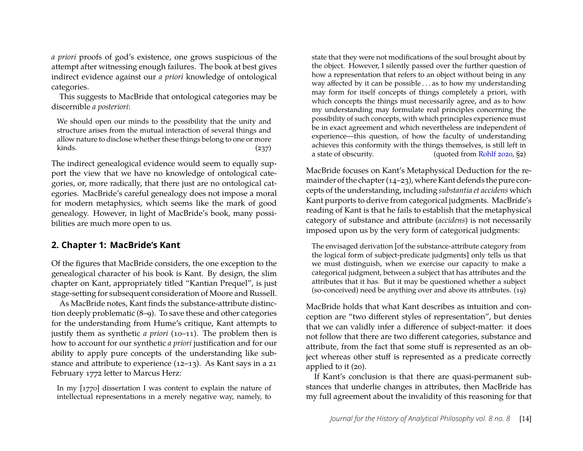*a priori* proofs of god's existence, one grows suspicious of the attempt after witnessing enough failures. The book at best gives indirect evidence against our *a priori* knowledge of ontological categories.

This suggests to MacBride that ontological categories may be discernible *a posteriori*:

We should open our minds to the possibility that the unity and structure arises from the mutual interaction of several things and allow nature to disclose whether these things belong to one or more kinds.  $(237)$ 

The indirect genealogical evidence would seem to equally support the view that we have no knowledge of ontological categories, or, more radically, that there just are no ontological categories. MacBride's careful genealogy does not impose a moral for modern metaphysics, which seems like the mark of good genealogy. However, in light of MacBride's book, many possibilities are much more open to us.

#### **2. Chapter 1: MacBride's Kant**

Of the figures that MacBride considers, the one exception to the genealogical character of his book is Kant. By design, the slim chapter on Kant, appropriately titled "Kantian Prequel", is just stage-setting for subsequent consideration of Moore and Russell.

As MacBride notes, Kant finds the substance-attribute distinction deeply problematic (8–9). To save these and other categories for the understanding from Hume's critique, Kant attempts to justify them as synthetic *a priori* (10–11). The problem then is how to account for our synthetic *a priori* justification and for our ability to apply pure concepts of the understanding like substance and attribute to experience (12–13). As Kant says in a 21 February 1772 letter to Marcus Herz:

In my [1770] dissertation I was content to explain the nature of intellectual representations in a merely negative way, namely, to

state that they were not modifications of the soul brought about by the object. However, I silently passed over the further question of how a representation that refers to an object without being in any way affected by it can be possible . . . as to how my understanding may form for itself concepts of things completely a priori, with which concepts the things must necessarily agree, and as to how my understanding may formulate real principles concerning the possibility of such concepts, with which principles experience must be in exact agreement and which nevertheless are independent of experience—this question, of how the faculty of understanding achieves this conformity with the things themselves, is still left in a state of obscurity. (quoted from [Rohlf 2020,](#page-19-0) §2)

MacBride focuses on Kant's Metaphysical Deduction for the remainder of the chapter (14–23), where Kant defends the pure concepts of the understanding, including *substantia et accidens* which Kant purports to derive from categorical judgments. MacBride's reading of Kant is that he fails to establish that the metaphysical category of substance and attribute (*accidens*) is not necessarily imposed upon us by the very form of categorical judgments:

The envisaged derivation [of the substance-attribute category from the logical form of subject-predicate judgments] only tells us that we must distinguish, when we exercise our capacity to make a categorical judgment, between a subject that has attributes and the attributes that it has. But it may be questioned whether a subject (so-conceived) need be anything over and above its attributes. (19)

MacBride holds that what Kant describes as intuition and conception are "two different styles of representation", but denies that we can validly infer a difference of subject-matter: it does not follow that there are two different categories, substance and attribute, from the fact that some stuff is represented as an object whereas other stuff is represented as a predicate correctly applied to it (20).

If Kant's conclusion is that there are quasi-permanent substances that underlie changes in attributes, then MacBride has my full agreement about the invalidity of this reasoning for that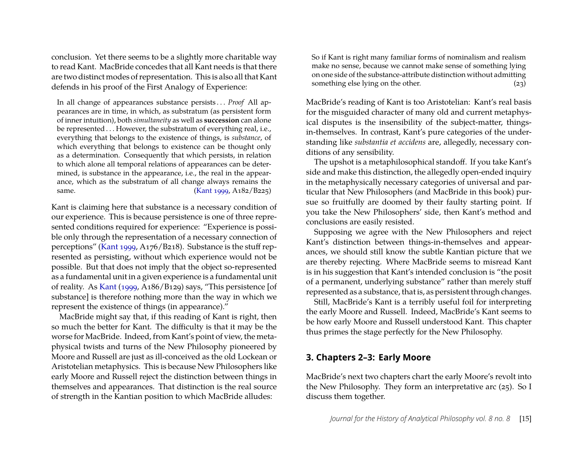conclusion. Yet there seems to be a slightly more charitable way to read Kant. MacBride concedes that all Kant needs is that there are two distinct modes of representation. This is also all that Kant defends in his proof of the First Analogy of Experience:

In all change of appearances substance persists . . . *Proof* All appearances are in time, in which, as substratum (as persistent form of inner intuition), both *simultaneity* as well as **succession** can alone be represented . . . However, the substratum of everything real, i.e., everything that belongs to the existence of things, is *substance*, of which everything that belongs to existence can be thought only as a determination. Consequently that which persists, in relation to which alone all temporal relations of appearances can be determined, is substance in the appearance, i.e., the real in the appearance, which as the substratum of all change always remains the same. [\(Kant 1999,](#page-18-2) A182/B225)

Kant is claiming here that substance is a necessary condition of our experience. This is because persistence is one of three represented conditions required for experience: "Experience is possible only through the representation of a necessary connection of perceptions" [\(Kant 1999,](#page-18-2) A176/B218). Substance is the stuff represented as persisting, without which experience would not be possible. But that does not imply that the object so-represented as a fundamental unit in a given experience is a fundamental unit of reality. As [Kant](#page-18-2) [\(1999,](#page-18-2) A186/B129) says, "This persistence [of substance] is therefore nothing more than the way in which we represent the existence of things (in appearance)."

MacBride might say that, if this reading of Kant is right, then so much the better for Kant. The difficulty is that it may be the worse for MacBride. Indeed, from Kant's point of view, the metaphysical twists and turns of the New Philosophy pioneered by Moore and Russell are just as ill-conceived as the old Lockean or Aristotelian metaphysics. This is because New Philosophers like early Moore and Russell reject the distinction between things in themselves and appearances. That distinction is the real source of strength in the Kantian position to which MacBride alludes:

So if Kant is right many familiar forms of nominalism and realism make no sense, because we cannot make sense of something lying on one side of the substance-attribute distinction without admitting something else lying on the other. (23)

MacBride's reading of Kant is too Aristotelian: Kant's real basis for the misguided character of many old and current metaphysical disputes is the insensibility of the subject-matter, thingsin-themselves. In contrast, Kant's pure categories of the understanding like *substantia et accidens* are, allegedly, necessary conditions of any sensibility.

The upshot is a metaphilosophical standoff. If you take Kant's side and make this distinction, the allegedly open-ended inquiry in the metaphysically necessary categories of universal and particular that New Philosophers (and MacBride in this book) pursue so fruitfully are doomed by their faulty starting point. If you take the New Philosophers' side, then Kant's method and conclusions are easily resisted.

Supposing we agree with the New Philosophers and reject Kant's distinction between things-in-themselves and appearances, we should still know the subtle Kantian picture that we are thereby rejecting. Where MacBride seems to misread Kant is in his suggestion that Kant's intended conclusion is "the posit of a permanent, underlying substance" rather than merely stuff represented as a substance, that is, as persistent through changes.

Still, MacBride's Kant is a terribly useful foil for interpreting the early Moore and Russell. Indeed, MacBride's Kant seems to be how early Moore and Russell understood Kant. This chapter thus primes the stage perfectly for the New Philosophy.

#### **3. Chapters 2–3: Early Moore**

MacBride's next two chapters chart the early Moore's revolt into the New Philosophy. They form an interpretative arc (25). So I discuss them together.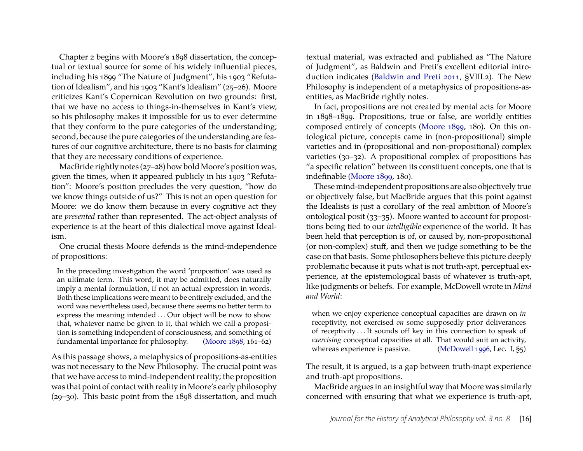Chapter 2 begins with Moore's 1898 dissertation, the conceptual or textual source for some of his widely influential pieces, including his 1899 "The Nature of Judgment", his 1903 "Refutation of Idealism", and his 1903 "Kant's Idealism" (25–26). Moore criticizes Kant's Copernican Revolution on two grounds: first, that we have no access to things-in-themselves in Kant's view, so his philosophy makes it impossible for us to ever determine that they conform to the pure categories of the understanding; second, because the pure categories of the understanding are features of our cognitive architecture, there is no basis for claiming that they are necessary conditions of experience.

MacBride rightly notes (27–28) how bold Moore's position was, given the times, when it appeared publicly in his 1903 "Refutation": Moore's position precludes the very question, "how do we know things outside of us?" This is not an open question for Moore: we do know them because in every cognitive act they are *presented* rather than represented. The act-object analysis of experience is at the heart of this dialectical move against Idealism.

One crucial thesis Moore defends is the mind-independence of propositions:

In the preceding investigation the word 'proposition' was used as an ultimate term. This word, it may be admitted, does naturally imply a mental formulation, if not an actual expression in words. Both these implications were meant to be entirely excluded, and the word was nevertheless used, because there seems no better term to express the meaning intended . . . Our object will be now to show that, whatever name be given to it, that which we call a proposition is something independent of consciousness, and something of fundamental importance for philosophy. [\(Moore 1898,](#page-19-1) 161–62)

As this passage shows, a metaphysics of propositions-as-entities was not necessary to the New Philosophy. The crucial point was that we have access to mind-independent reality; the proposition was that point of contact with reality in Moore's early philosophy (29–30). This basic point from the 1898 dissertation, and much textual material, was extracted and published as "The Nature of Judgment", as Baldwin and Preti's excellent editorial introduction indicates [\(Baldwin and Preti 2011,](#page-18-3) §VIII.2). The New Philosophy is independent of a metaphysics of propositions-asentities, as MacBride rightly notes.

In fact, propositions are not created by mental acts for Moore in 1898–1899. Propositions, true or false, are worldly entities composed entirely of concepts [\(Moore 1899,](#page-19-2) 180). On this ontological picture, concepts came in (non-propositional) simple varieties and in (propositional and non-propositional) complex varieties (30–32). A propositional complex of propositions has "a specific relation" between its constituent concepts, one that is indefinable [\(Moore 1899,](#page-19-2) 180).

These mind-independent propositions are also objectively true or objectively false, but MacBride argues that this point against the Idealists is just a corollary of the real ambition of Moore's ontological posit (33–35). Moore wanted to account for propositions being tied to our *intelligible* experience of the world. It has been held that perception is of, or caused by, non-propositional (or non-complex) stuff, and then we judge something to be the case on that basis. Some philosophers believe this picture deeply problematic because it puts what is not truth-apt, perceptual experience, at the epistemological basis of whatever is truth-apt, like judgments or beliefs. For example, McDowell wrote in *Mind and World*:

when we enjoy experience conceptual capacities are drawn on *in* receptivity, not exercised *on* some supposedly prior deliverances of receptivity . . . It sounds off key in this connection to speak of *exercising* conceptual capacities at all. That would suit an activity, whereas experience is passive. [\(McDowell 1996,](#page-18-4) Lec. I, §5)

The result, it is argued, is a gap between truth-inapt experience and truth-apt propositions.

MacBride argues in an insightful way that Moore was similarly concerned with ensuring that what we experience is truth-apt,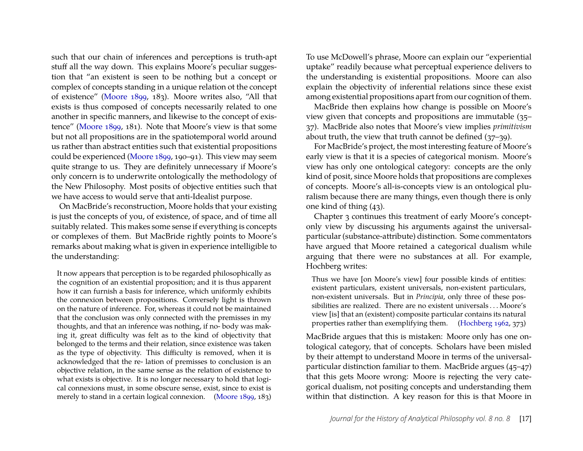such that our chain of inferences and perceptions is truth-apt stuff all the way down. This explains Moore's peculiar suggestion that "an existent is seen to be nothing but a concept or complex of concepts standing in a unique relation ot the concept of existence" [\(Moore 1899,](#page-19-2) 183). Moore writes also, "All that exists is thus composed of concepts necessarily related to one another in specific manners, and likewise to the concept of existence" [\(Moore 1899,](#page-19-2) 181). Note that Moore's view is that some but not all propositions are in the spatiotemporal world around us rather than abstract entities such that existential propositions could be experienced [\(Moore 1899,](#page-19-2) 190–91). This view may seem quite strange to us. They are definitely unnecessary if Moore's only concern is to underwrite ontologically the methodology of the New Philosophy. Most posits of objective entities such that we have access to would serve that anti-Idealist purpose.

On MacBride's reconstruction, Moore holds that your existing is just the concepts of you, of existence, of space, and of time all suitably related. This makes some sense if everything is concepts or complexes of them. But MacBride rightly points to Moore's remarks about making what is given in experience intelligible to the understanding:

It now appears that perception is to be regarded philosophically as the cognition of an existential proposition; and it is thus apparent how it can furnish a basis for inference, which uniformly exhibits the connexion between propositions. Conversely light is thrown on the nature of inference. For, whereas it could not be maintained that the conclusion was only connected with the premisses in my thoughts, and that an inference was nothing, if no- body was making it, great difficulty was felt as to the kind of objectivity that belonged to the terms and their relation, since existence was taken as the type of objectivity. This difficulty is removed, when it is acknowledged that the re- lation of premisses to conclusion is an objective relation, in the same sense as the relation of existence to what exists is objective. It is no longer necessary to hold that logical connexions must, in some obscure sense, exist, since to exist is merely to stand in a certain logical connexion. [\(Moore 1899,](#page-19-2) 183) To use McDowell's phrase, Moore can explain our "experiential uptake" readily because what perceptual experience delivers to the understanding is existential propositions. Moore can also explain the objectivity of inferential relations since these exist among existential propositions apart from our cognition of them.

MacBride then explains how change is possible on Moore's view given that concepts and propositions are immutable (35– 37). MacBride also notes that Moore's view implies *primitivism* about truth, the view that truth cannot be defined (37–39).

For MacBride's project, the most interesting feature of Moore's early view is that it is a species of categorical monism. Moore's view has only one ontological category: concepts are the only kind of posit, since Moore holds that propositions are complexes of concepts. Moore's all-is-concepts view is an ontological pluralism because there are many things, even though there is only one kind of thing (43).

Chapter 3 continues this treatment of early Moore's conceptonly view by discussing his arguments against the universalparticular (substance-attribute) distinction. Some commentators have argued that Moore retained a categorical dualism while arguing that there were no substances at all. For example, Hochberg writes:

Thus we have [on Moore's view] four possible kinds of entities: existent particulars, existent universals, non-existent particulars, non-existent universals. But in *Principia*, only three of these possibilities are realized. There are no existent universals . . . Moore's view [is] that an (existent) composite particular contains its natural properties rather than exemplifying them. [\(Hochberg 1962,](#page-18-5) 373)

MacBride argues that this is mistaken: Moore only has one ontological category, that of concepts. Scholars have been misled by their attempt to understand Moore in terms of the universalparticular distinction familiar to them. MacBride argues (45–47) that this gets Moore wrong: Moore is rejecting the very categorical dualism, not positing concepts and understanding them within that distinction. A key reason for this is that Moore in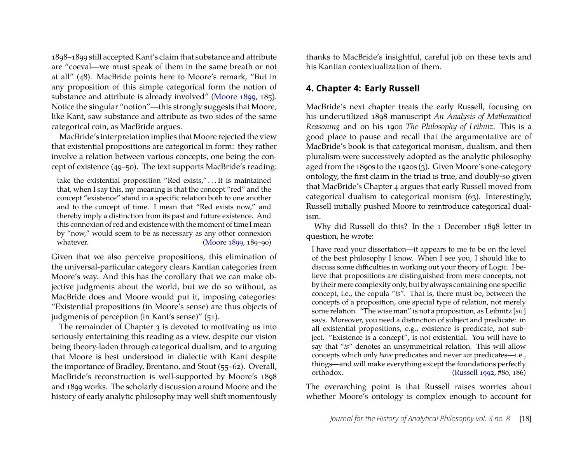1898–1899 still accepted Kant's claim that substance and attribute are "coeval—we must speak of them in the same breath or not at all" (48). MacBride points here to Moore's remark, "But in any proposition of this simple categorical form the notion of substance and attribute is already involved" [\(Moore 1899,](#page-19-2) 185). Notice the singular "notion"—this strongly suggests that Moore, like Kant, saw substance and attribute as two sides of the same categorical coin, as MacBride argues.

MacBride's interpretation implies that Moore rejected the view that existential propositions are categorical in form: they rather involve a relation between various concepts, one being the concept of existence (49–50). The text supports MacBride's reading:

take the existential proposition "Red exists," . . . It is maintained that, when I say this, my meaning is that the concept "red" and the concept "existence" stand in a specific relation both to one another and to the concept of time. I mean that "Red exists now," and thereby imply a distinction from its past and future existence. And this connexion of red and existence with the moment of time I mean by "now," would seem to be as necessary as any other connexion whatever. [\(Moore 1899,](#page-19-2) 189–90)

Given that we also perceive propositions, this elimination of the universal-particular category clears Kantian categories from Moore's way. And this has the corollary that we can make objective judgments about the world, but we do so without, as MacBride does and Moore would put it, imposing categories: "Existential propositions (in Moore's sense) are thus objects of judgments of perception (in Kant's sense)" (51).

The remainder of Chapter 3 is devoted to motivating us into seriously entertaining this reading as a view, despite our vision being theory-laden through categorical dualism, and to arguing that Moore is best understood in dialectic with Kant despite the importance of Bradley, Brentano, and Stout (55–62). Overall, MacBride's reconstruction is well-supported by Moore's 1898 and 1899 works. The scholarly discussion around Moore and the history of early analytic philosophy may well shift momentously

thanks to MacBride's insightful, careful job on these texts and his Kantian contextualization of them.

#### **4. Chapter 4: Early Russell**

MacBride's next chapter treats the early Russell, focusing on his underutilized 1898 manuscript *An Analysis of Mathematical Reasoning* and on his 1900 *The Philosophy of Leibniz*. This is a good place to pause and recall that the argumentative arc of MacBride's book is that categorical monism, dualism, and then pluralism were successively adopted as the analytic philosophy aged from the 1890s to the 1920s (3). Given Moore's one-category ontology, the first claim in the triad is true, and doubly-so given that MacBride's Chapter 4 argues that early Russell moved from categorical dualism to categorical monism (63). Interestingly, Russell initially pushed Moore to reintroduce categorical dualism.

Why did Russell do this? In the 1 December 1898 letter in question, he wrote:

I have read your dissertation—it appears to me to be on the level of the best philosophy I know. When I see you, I should like to discuss some difficulties in working out your theory of Logic. I believe that propositions are distinguished from mere concepts, not by their mere complexity only, but by always containing one specific concept, i.e., the copula "*is*". That is, there must be, between the concepts of a proposition, one special type of relation, not merely some relation. "The wise man" is not a proposition, as Leibnitz [*sic*] says. Moreover, you need a distinction of subject and predicate: in all existential propositions, e.g., existence is predicate, not subject. "Existence is a concept", is not existential. You will have to say that "*is*" denotes an unsymmetrical relation. This will allow concepts which only *have* predicates and never *are* predicates—i.e., things—and will make everything except the foundations perfectly orthodox. [\(Russell 1992,](#page-19-3) #80, 186)

The overarching point is that Russell raises worries about whether Moore's ontology is complex enough to account for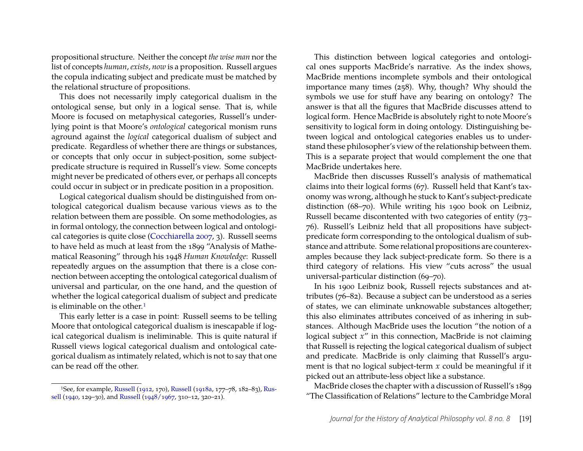propositional structure. Neither the concept *the wise man* nor the list of concepts *human*, *exists*, *now* is a proposition. Russell argues the copula indicating subject and predicate must be matched by the relational structure of propositions.

This does not necessarily imply categorical dualism in the ontological sense, but only in a logical sense. That is, while Moore is focused on metaphysical categories, Russell's underlying point is that Moore's *ontological* categorical monism runs aground against the *logical* categorical dualism of subject and predicate. Regardless of whether there are things or substances, or concepts that only occur in subject-position, some subjectpredicate structure is required in Russell's view. Some concepts might never be predicated of others ever, or perhaps all concepts could occur in subject or in predicate position in a proposition.

Logical categorical dualism should be distinguished from ontological categorical dualism because various views as to the relation between them are possible. On some methodologies, as in formal ontology, the connection between logical and ontological categories is quite close [\(Cocchiarella 2007,](#page-18-6) 3). Russell seems to have held as much at least from the 1899 "Analysis of Mathematical Reasoning" through his 1948 *Human Knowledge*: Russell repeatedly argues on the assumption that there is a close connection between accepting the ontological categorical dualism of universal and particular, on the one hand, and the question of whether the logical categorical dualism of subject and predicate is eliminable on the other.[1](#page-8-0)

This early letter is a case in point: Russell seems to be telling Moore that ontological categorical dualism is inescapable if logical categorical dualism is ineliminable. This is quite natural if Russell views logical categorical dualism and ontological categorical dualism as intimately related, which is not to say that one can be read off the other.

This distinction between logical categories and ontological ones supports MacBride's narrative. As the index shows, MacBride mentions incomplete symbols and their ontological importance many times (258). Why, though? Why should the symbols we use for stuff have any bearing on ontology? The answer is that all the figures that MacBride discusses attend to logical form. Hence MacBride is absolutely right to note Moore's sensitivity to logical form in doing ontology. Distinguishing between logical and ontological categories enables us to understand these philosopher's view of the relationship between them. This is a separate project that would complement the one that MacBride undertakes here.

MacBride then discusses Russell's analysis of mathematical claims into their logical forms (67). Russell held that Kant's taxonomy was wrong, although he stuck to Kant's subject-predicate distinction (68–70). While writing his 1900 book on Leibniz, Russell became discontented with two categories of entity (73– 76). Russell's Leibniz held that all propositions have subjectpredicate form corresponding to the ontological dualism of substance and attribute. Some relational propositions are counterexamples because they lack subject-predicate form. So there is a third category of relations. His view "cuts across" the usual universal-particular distinction (69–70).

In his 1900 Leibniz book, Russell rejects substances and attributes (76–82). Because a subject can be understood as a series of states, we can eliminate unknowable substances altogether; this also eliminates attributes conceived of as inhering in substances. Although MacBride uses the locution "the notion of a logical subject *x*" in this connection, MacBride is not claiming that Russell is rejecting the logical categorical dualism of subject and predicate. MacBride is only claiming that Russell's argument is that no logical subject-term *x* could be meaningful if it picked out an attribute-less object like a substance.

MacBride closes the chapter with a discussion of Russell's 1899 "The Classification of Relations" lecture to the Cambridge Moral

<span id="page-8-0"></span><sup>1</sup>See, for example, [Russell](#page-19-4) [\(1912,](#page-19-4) 170), [Russell](#page-19-5) [\(1918a,](#page-19-5) 177–78, 182–83), [Rus](#page-19-6)[sell](#page-19-6) [\(1940,](#page-19-6) 129–30), and [Russell](#page-19-7) [\(1948/1967,](#page-19-7) 310–12, 320–21).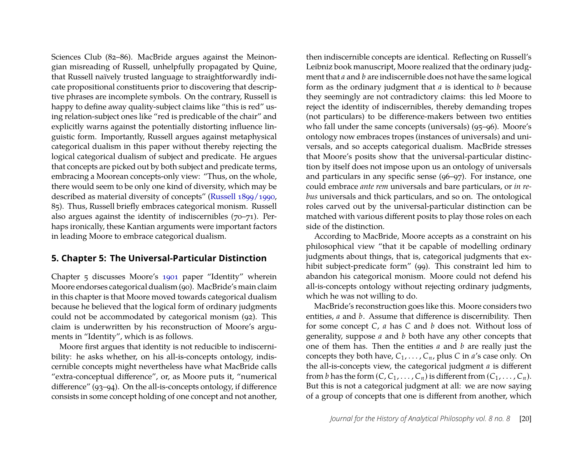Sciences Club (82–86). MacBride argues against the Meinongian misreading of Russell, unhelpfully propagated by Quine, that Russell naïvely trusted language to straightforwardly indicate propositional constituents prior to discovering that descriptive phrases are incomplete symbols. On the contrary, Russell is happy to define away quality-subject claims like "this is red" using relation-subject ones like "red is predicable of the chair" and explicitly warns against the potentially distorting influence linguistic form. Importantly, Russell argues against metaphysical categorical dualism in this paper without thereby rejecting the logical categorical dualism of subject and predicate. He argues that concepts are picked out by both subject and predicate terms, embracing a Moorean concepts-only view: "Thus, on the whole, there would seem to be only one kind of diversity, which may be described as material diversity of concepts" [\(Russell 1899/1990,](#page-19-8) 85). Thus, Russell briefly embraces categorical monism. Russell also argues against the identity of indiscernibles (70–71). Perhaps ironically, these Kantian arguments were important factors in leading Moore to embrace categorical dualism.

#### **5. Chapter 5: The Universal-Particular Distinction**

Chapter 5 discusses Moore's [1901](#page-19-9) paper "Identity" wherein Moore endorses categorical dualism (90). MacBride's main claim in this chapter is that Moore moved towards categorical dualism because he believed that the logical form of ordinary judgments could not be accommodated by categorical monism (92). This claim is underwritten by his reconstruction of Moore's arguments in "Identity", which is as follows.

Moore first argues that identity is not reducible to indiscernibility: he asks whether, on his all-is-concepts ontology, indiscernible concepts might nevertheless have what MacBride calls "extra-conceptual difference", or, as Moore puts it, "numerical difference" (93–94). On the all-is-concepts ontology, if difference consists in some concept holding of one concept and not another,

then indiscernible concepts are identical. Reflecting on Russell's Leibniz book manuscript, Moore realized that the ordinary judgment that *a* and *b* are indiscernible does not have the same logical form as the ordinary judgment that *a* is identical to *b* because they seemingly are not contradictory claims: this led Moore to reject the identity of indiscernibles, thereby demanding tropes (not particulars) to be difference-makers between two entities who fall under the same concepts (universals) (95–96). Moore's ontology now embraces tropes (instances of universals) and universals, and so accepts categorical dualism. MacBride stresses that Moore's posits show that the universal-particular distinction by itself does not impose upon us an ontology of universals and particulars in any specific sense (96–97). For instance, one could embrace *ante rem* universals and bare particulars, or *in rebus* universals and thick particulars, and so on. The ontological roles carved out by the universal-particular distinction can be matched with various different posits to play those roles on each side of the distinction.

According to MacBride, Moore accepts as a constraint on his philosophical view "that it be capable of modelling ordinary judgments about things, that is, categorical judgments that exhibit subject-predicate form" (99). This constraint led him to abandon his categorical monism. Moore could not defend his all-is-concepts ontology without rejecting ordinary judgments, which he was not willing to do.

MacBride's reconstruction goes like this. Moore considers two entities, *a* and *b*. Assume that difference is discernibility. Then for some concept *C*, *a* has *C* and *b* does not. Without loss of generality, suppose *a* and *b* both have any other concepts that one of them has. Then the entities *a* and *b* are really just the concepts they both have,  $C_1, \ldots, C_n$ , plus *C* in *a*'s case only. On the all-is-concepts view, the categorical judgment *a* is different from *b* has the form  $(C, C_1, \ldots, C_n)$  is different from  $(C_1, \ldots, C_n)$ . But this is not a categorical judgment at all: we are now saying of a group of concepts that one is different from another, which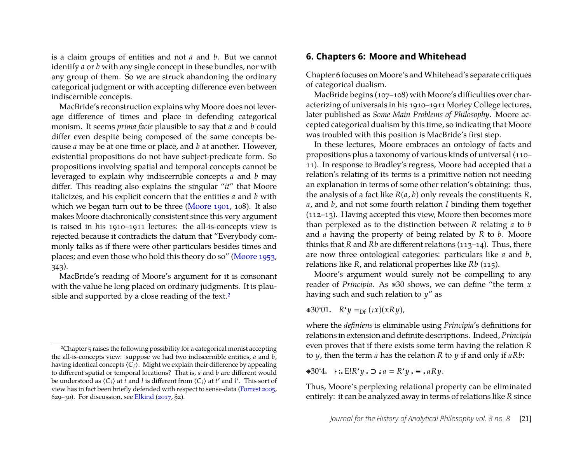is a claim groups of entities and not *a* and *b*. But we cannot identify *a* or *b* with any single concept in these bundles, nor with any group of them. So we are struck abandoning the ordinary categorical judgment or with accepting difference even between indiscernible concepts.

MacBride's reconstruction explains why Moore does not leverage difference of times and place in defending categorical monism. It seems *prima facie* plausible to say that *a* and *b* could differ even despite being composed of the same concepts because *a* may be at one time or place, and *b* at another. However, existential propositions do not have subject-predicate form. So propositions involving spatial and temporal concepts cannot be leveraged to explain why indiscernible concepts *a* and *b* may differ. This reading also explains the singular "*it*" that Moore italicizes, and his explicit concern that the entities *a* and *b* with which we began turn out to be three [\(Moore 1901,](#page-19-9) 108). It also makes Moore diachronically consistent since this very argument is raised in his 1910–1911 lectures: the all-is-concepts view is rejected because it contradicts the datum that "Everybody commonly talks as if there were other particulars besides times and places; and even those who hold this theory do so" [\(Moore 1953,](#page-19-10) 343).

MacBride's reading of Moore's argument for it is consonant with the value he long placed on ordinary judgments. It is plau-sible and supported by a close reading of the text.<sup>[2](#page-10-0)</sup>

#### **6. Chapters 6: Moore and Whitehead**

Chapter 6 focuses on Moore's andWhitehead's separate critiques of categorical dualism.

MacBride begins (107–108) with Moore's difficulties over characterizing of universals in his 1910–1911 Morley College lectures, later published as *Some Main Problems of Philosophy*. Moore accepted categorical dualism by this time, so indicating that Moore was troubled with this position is MacBride's first step.

In these lectures, Moore embraces an ontology of facts and propositions plus a taxonomy of various kinds of universal (110– 11). In response to Bradley's regress, Moore had accepted that a relation's relating of its terms is a primitive notion not needing an explanation in terms of some other relation's obtaining: thus, the analysis of a fact like *R*(*a*, *b*) only reveals the constituents *R*, *a*, and *b*, and not some fourth relation *I* binding them together (112–13). Having accepted this view, Moore then becomes more than perplexed as to the distinction between *R* relating *a* to *b* and *a* having the property of being related by *R* to *b*. Moore thinks that *R* and *Rb* are different relations (113–14). Thus, there are now three ontological categories: particulars like *a* and *b*, relations like *R*, and relational properties like *Rb* (115).

Moore's argument would surely not be compelling to any reader of *Principia*. As ❋30 shows, we can define "the term *x* having such and such relation to *y*" as

 $\ast 30^{\circ}01$ .  $R'y =_{\text{Df}} (ix)(xRy)$ ,

where the *definiens* is eliminable using *Principia*'s definitions for relations in extension and definite descriptions. Indeed, *Principia* even proves that if there exists some term having the relation *R* to *y*, then the term *a* has the relation *R* to *y* if and only if *aRb*:

❋30·4**.** <sup>⊢</sup> <sup>E</sup>!*R***'***<sup>y</sup>* <sup>⊃</sup> *<sup>a</sup> <sup>R</sup>***'***<sup>y</sup>* <sup>≡</sup> *aRy*.

Thus, Moore's perplexing relational property can be eliminated entirely: it can be analyzed away in terms of relations like *R* since

<span id="page-10-0"></span><sup>2</sup>Chapter 5 raises the following possibility for a categorical monist accepting the all-is-concepts view: suppose we had two indiscernible entities, *a* and *b*, having identical concepts  $\langle C_i \rangle$ . Might we explain their difference by appealing to different spatial or temporal locations? That is, *a* and *b* are different would be understood as  $\langle C_i \rangle$  at  $\tilde{t}$  and  $l$  is different from  $\langle C_i \rangle$  at  $t'$  and  $l'$ . This sort of view has in fact been briefly defended with respect to sense-data [\(Forrest 2005,](#page-18-7) 629–30). For discussion, see [Elkind](#page-18-8)  $(2017, \text{S2})$  $(2017, \text{S2})$ .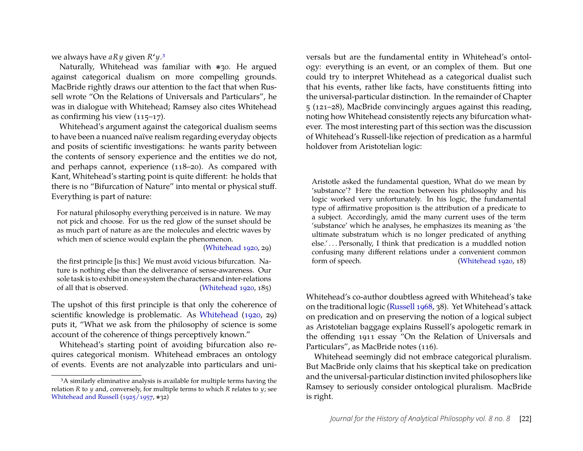we always have *aRy* given *R***'***y*.[3](#page-11-0)

Naturally, Whitehead was familiar with ❋30. He argued against categorical dualism on more compelling grounds. MacBride rightly draws our attention to the fact that when Russell wrote "On the Relations of Universals and Particulars", he was in dialogue with Whitehead; Ramsey also cites Whitehead as confirming his view (115–17).

Whitehead's argument against the categorical dualism seems to have been a nuanced naïve realism regarding everyday objects and posits of scientific investigations: he wants parity between the contents of sensory experience and the entities we do not, and perhaps cannot, experience (118–20). As compared with Kant, Whitehead's starting point is quite different: he holds that there is no "Bifurcation of Nature" into mental or physical stuff. Everything is part of nature:

For natural philosophy everything perceived is in nature. We may not pick and choose. For us the red glow of the sunset should be as much part of nature as are the molecules and electric waves by which men of science would explain the phenomenon.

[\(Whitehead 1920,](#page-19-11) 29)

the first principle [is this:] We must avoid vicious bifurcation. Nature is nothing else than the deliverance of sense-awareness. Our sole task is to exhibit in one system the characters and inter-relations of all that is observed. [\(Whitehead 1920,](#page-19-11) 185)

The upshot of this first principle is that only the coherence of scientific knowledge is problematic. As [Whitehead](#page-19-11) [\(1920,](#page-19-11) 29) puts it, "What we ask from the philosophy of science is some account of the coherence of things perceptively known."

Whitehead's starting point of avoiding bifurcation also requires categorical monism. Whitehead embraces an ontology of events. Events are not analyzable into particulars and universals but are the fundamental entity in Whitehead's ontology: everything is an event, or an complex of them. But one could try to interpret Whitehead as a categorical dualist such that his events, rather like facts, have constituents fitting into the universal-particular distinction. In the remainder of Chapter 5 (121–28), MacBride convincingly argues against this reading, noting how Whitehead consistently rejects any bifurcation whatever. The most interesting part of this section was the discussion of Whitehead's Russell-like rejection of predication as a harmful holdover from Aristotelian logic:

Aristotle asked the fundamental question, What do we mean by 'substance'? Here the reaction between his philosophy and his logic worked very unfortunately. In his logic, the fundamental type of affirmative proposition is the attribution of a predicate to a subject. Accordingly, amid the many current uses of the term 'substance' which he analyses, he emphasizes its meaning as 'the ultimate substratum which is no longer predicated of anything else.'... Personally, I think that predication is a muddled notion confusing many different relations under a convenient common<br>form of speech. (Whitehead 1920, 18)  $(Whitehead 1920, 18)$  $(Whitehead 1920, 18)$ 

Whitehead's co-author doubtless agreed with Whitehead's take on the traditional logic [\(Russell 1968,](#page-19-13) 38). Yet Whitehead's attack on predication and on preserving the notion of a logical subject as Aristotelian baggage explains Russell's apologetic remark in the offending 1911 essay "On the Relation of Universals and Particulars", as MacBride notes (116).

Whitehead seemingly did not embrace categorical pluralism. But MacBride only claims that his skeptical take on predication and the universal-particular distinction invited philosophers like Ramsey to seriously consider ontological pluralism. MacBride is right.

<span id="page-11-0"></span><sup>&</sup>lt;sup>3</sup>A similarly eliminative analysis is available for multiple terms having the relation *R* to *y* and, conversely, for multiple terms to which *R* relates to *y*; see [Whitehead and Russell](#page-19-12) [\(1925/1957,](#page-19-12) ❋32)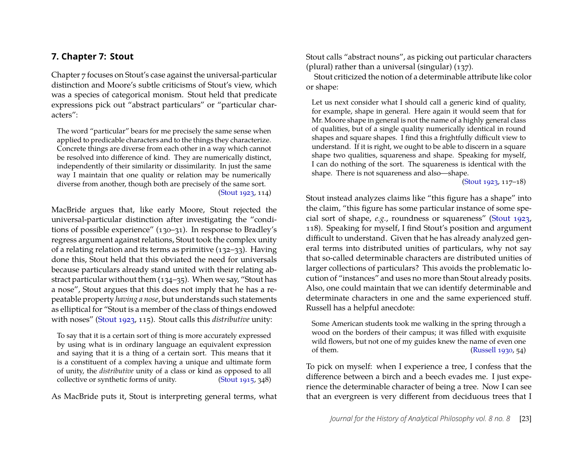#### <span id="page-12-0"></span>**7. Chapter 7: Stout**

Chapter 7 focuses on Stout's case against the universal-particular distinction and Moore's subtle criticisms of Stout's view, which was a species of categorical monism. Stout held that predicate expressions pick out "abstract particulars" or "particular characters":

The word "particular" bears for me precisely the same sense when applied to predicable characters and to the things they characterize. Concrete things are diverse from each other in a way which cannot be resolved into difference of kind. They are numerically distinct, independently of their similarity or dissimilarity. In just the same way I maintain that one quality or relation may be numerically diverse from another, though both are precisely of the same sort.

[\(Stout 1923,](#page-19-14) 114)

MacBride argues that, like early Moore, Stout rejected the universal-particular distinction after investigating the "conditions of possible experience" (130–31). In response to Bradley's regress argument against relations, Stout took the complex unity of a relating relation and its terms as primitive (132–33). Having done this, Stout held that this obviated the need for universals because particulars already stand united with their relating abstract particular without them (134–35). When we say, "Stout has a nose", Stout argues that this does not imply that he has a repeatable property *having a nose*, but understands such statements as elliptical for "Stout is a member of the class of things endowed with noses" [\(Stout 1923,](#page-19-14) 115). Stout calls this *distributive* unity:

To say that it is a certain sort of thing is more accurately expressed by using what is in ordinary language an equivalent expression and saying that it is a thing of a certain sort. This means that it is a constituent of a complex having a unique and ultimate form of unity, the *distributive* unity of a class or kind as opposed to all collective or synthetic forms of unity. [\(Stout 1915,](#page-19-15) 348)

As MacBride puts it, Stout is interpreting general terms, what

Stout calls "abstract nouns", as picking out particular characters (plural) rather than a universal (singular) (137).

Stout criticized the notion of a determinable attribute like color or shape:

Let us next consider what I should call a generic kind of quality, for example, shape in general. Here again it would seem that for Mr. Moore shape in general is not the name of a highly general class of qualities, but of a single quality numerically identical in round shapes and square shapes. I find this a frightfully difficult view to understand. If it is right, we ought to be able to discern in a square shape two qualities, squareness and shape. Speaking for myself, I can do nothing of the sort. The squareness is identical with the shape. There is not squareness and also—shape.

[\(Stout 1923,](#page-19-14) 117–18)

Stout instead analyzes claims like "this figure has a shape" into the claim, "this figure has some particular instance of some special sort of shape, *e.g.*, roundness or squareness" [\(Stout 1923,](#page-19-14) 118). Speaking for myself, I find Stout's position and argument difficult to understand. Given that he has already analyzed general terms into distributed unities of particulars, why not say that so-called determinable characters are distributed unities of larger collections of particulars? This avoids the problematic locution of "instances" and uses no more than Stout already posits. Also, one could maintain that we can identify determinable and determinate characters in one and the same experienced stuff. Russell has a helpful anecdote:

Some American students took me walking in the spring through a wood on the borders of their campus; it was filled with exquisite wild flowers, but not one of my guides knew the name of even one of them. [\(Russell 1930,](#page-19-16) 54)

To pick on myself: when I experience a tree, I confess that the difference between a birch and a beech evades me. I just experience the determinable character of being a tree. Now I can see that an evergreen is very different from deciduous trees that I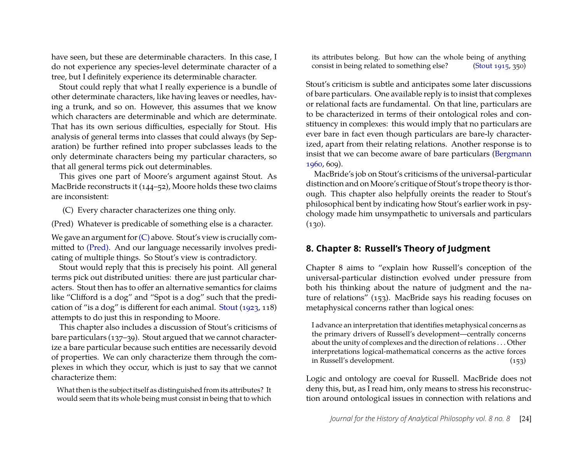have seen, but these are determinable characters. In this case, I do not experience any species-level determinate character of a tree, but I definitely experience its determinable character.

Stout could reply that what I really experience is a bundle of other determinate characters, like having leaves or needles, having a trunk, and so on. However, this assumes that we know which characters are determinable and which are determinate. That has its own serious difficulties, especially for Stout. His analysis of general terms into classes that could always (by Separation) be further refined into proper subclasses leads to the only determinate characters being my particular characters, so that all general terms pick out determinables.

This gives one part of Moore's argument against Stout. As MacBride reconstructs it (144–52), Moore holds these two claims are inconsistent:

(C) Every character characterizes one thing only.

(Pred) Whatever is predicable of something else is a character.

We gave an argument for  $(C)$  above. Stout's view is crucially committed to [\(Pred\).](#page-12-0) And our language necessarily involves predicating of multiple things. So Stout's view is contradictory.

Stout would reply that this is precisely his point. All general terms pick out distributed unities: there are just particular characters. Stout then has to offer an alternative semantics for claims like "Clifford is a dog" and "Spot is a dog" such that the predication of "is a dog" is different for each animal. [Stout](#page-19-14) [\(1923,](#page-19-14) 118) attempts to do just this in responding to Moore.

This chapter also includes a discussion of Stout's criticisms of bare particulars (137–39). Stout argued that we cannot characterize a bare particular because such entities are necessarily devoid of properties. We can only characterize them through the complexes in which they occur, which is just to say that we cannot characterize them:

What then is the subject itself as distinguished from its attributes? It would seem that its whole being must consist in being that to which

its attributes belong. But how can the whole being of anything consist in being related to something else? [\(Stout 1915,](#page-19-15) 350)

Stout's criticism is subtle and anticipates some later discussions of bare particulars. One available reply is to insist that complexes or relational facts are fundamental. On that line, particulars are to be characterized in terms of their ontological roles and constituency in complexes: this would imply that no particulars are ever bare in fact even though particulars are bare-ly characterized, apart from their relating relations. Another response is to insist that we can become aware of bare particulars [\(Bergmann](#page-18-9) [1960,](#page-18-9) 609).

MacBride's job on Stout's criticisms of the universal-particular distinction and on Moore's critique of Stout's trope theory is thorough. This chapter also helpfully oreints the reader to Stout's philosophical bent by indicating how Stout's earlier work in psychology made him unsympathetic to universals and particulars  $(130).$ 

#### **8. Chapter 8: Russell's Theory of Judgment**

Chapter 8 aims to "explain how Russell's conception of the universal-particular distinction evolved under pressure from both his thinking about the nature of judgment and the nature of relations" (153). MacBride says his reading focuses on metaphysical concerns rather than logical ones:

I advance an interpretation that identifies metaphysical concerns as the primary drivers of Russell's development—centrally concerns about the unity of complexes and the direction of relations . . . Other interpretations logical-mathematical concerns as the active forces in Russell's development. (153)

Logic and ontology are coeval for Russell. MacBride does not deny this, but, as I read him, only means to stress his reconstruction around ontological issues in connection with relations and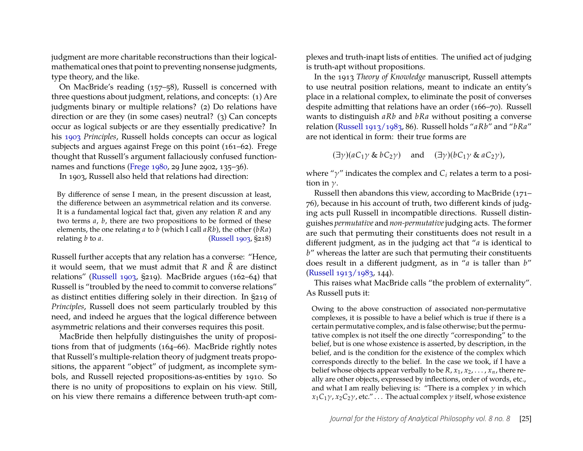judgment are more charitable reconstructions than their logicalmathematical ones that point to preventing nonsense judgments, type theory, and the like.

On MacBride's reading (157–58), Russell is concerned with three questions about judgment, relations, and concepts: (1) Are judgments binary or multiple relations? (2) Do relations have direction or are they (in some cases) neutral? (3) Can concepts occur as logical subjects or are they essentially predicative? In his [1903](#page-19-17) *Principles*, Russell holds concepts can occur as logical subjects and argues against Frege on this point (161–62). Frege thought that Russell's argument fallaciously confused functionnames and functions [\(Frege 1980,](#page-18-10) 29 June 2902, 135–36).

In 1903, Russell also held that relations had direction:

By difference of sense I mean, in the present discussion at least, the difference between an asymmetrical relation and its converse. It is a fundamental logical fact that, given any relation *R* and any two terms *a*, *b*, there are two propositions to be formed of these elements, the one relating *a* to *b* (which I call *aRb*), the other (*bRa*) relating *b* to *a*. [\(Russell 1903,](#page-19-17) §218)

Russell further accepts that any relation has a converse: "Hence, it would seem, that we must admit that *R* and *R*˘ are distinct relations" [\(Russell 1903,](#page-19-17) §219). MacBride argues (162–64) that Russell is "troubled by the need to commit to converse relations" as distinct entities differing solely in their direction. In §219 of *Principles*, Russell does not seem particularly troubled by this need, and indeed he argues that the logical difference between asymmetric relations and their converses requires this posit.

MacBride then helpfully distinguishes the unity of propositions from that of judgments (164–66). MacBride rightly notes that Russell's multiple-relation theory of judgment treats propositions, the apparent "object" of judgment, as incomplete symbols, and Russell rejected propositions-as-entities by 1910. So there is no unity of propositions to explain on his view. Still, on his view there remains a difference between truth-apt complexes and truth-inapt lists of entities. The unified act of judging is truth-apt without propositions.

In the 1913 *Theory of Knowledge* manuscript, Russell attempts to use neutral position relations, meant to indicate an entity's place in a relational complex, to eliminate the posit of converses despite admitting that relations have an order (166–70). Russell wants to distinguish *aRb* and *bRa* without positing a converse relation [\(Russell 1913/1983,](#page-19-18) 86). Russell holds "*aRb*" and "*bRa*" are not identical in form: their true forms are

 $(\exists \gamma)(aC_1\gamma \& bC_2\gamma)$  and  $(\exists \gamma)(bC_1\gamma \& aC_2\gamma)$ ,

where "γ" indicates the complex and *C<sup>i</sup>* relates a term to a position in  $\nu$ .

Russell then abandons this view, according to MacBride (171– 76), because in his account of truth, two different kinds of judging acts pull Russell in incompatible directions. Russell distinguishes *permutative* and *non-permutative*judging acts. The former are such that permuting their constituents does not result in a different judgment, as in the judging act that "*a* is identical to *b*" whereas the latter are such that permuting their constituents does result in a different judgment, as in "*a* is taller than *b*" [\(Russell 1913/1983,](#page-19-18) 144).

This raises what MacBride calls "the problem of externality". As Russell puts it:

Owing to the above construction of associated non-permutative complexes, it is possible to have a belief which is true if there is a certain permutative complex, and is false otherwise; but the permutative complex is not itself the one directly "corresponding" to the belief, but is one whose existence is asserted, by description, in the belief, and is the condition for the existence of the complex which corresponds directly to the belief. In the case we took, if I have a belief whose objects appear verbally to be  $R$ ,  $x_1$ ,  $x_2$ , . . . ,  $x_n$ , there really are other objects, expressed by inflections, order of words, etc., and what I am really believing is: "There is a complex  $\gamma$  in which  $x_1C_1\gamma$ ,  $x_2C_2\gamma$ , etc." . . . The actual complex  $\gamma$  itself, whose existence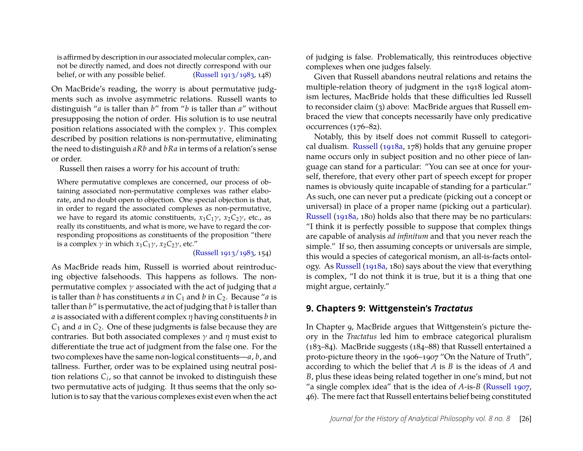is affirmed by description in our associated molecular complex, cannot be directly named, and does not directly correspond with our belief, or with any possible belief. [\(Russell 1913/1983,](#page-19-18) 148)

On MacBride's reading, the worry is about permutative judgments such as involve asymmetric relations. Russell wants to distinguish "*a* is taller than *b*" from "*b* is taller than *a*" without presupposing the notion of order. His solution is to use neutral position relations associated with the complex  $\gamma$ . This complex described by position relations is non-permutative, eliminating the need to distinguish *aRb* and *bRa* in terms of a relation's sense or order.

Russell then raises a worry for his account of truth:

Where permutative complexes are concerned, our process of obtaining associated non-permutative complexes was rather elaborate, and no doubt open to objection. One special objection is that, in order to regard the associated complexes as non-permutative, we have to regard its atomic constituents,  $x_1C_1\gamma$ ,  $x_2C_2\gamma$ , etc., as really its constituents, and what is more, we have to regard the corresponding propositions as constituents of the proposition "there is a complex  $\gamma$  in which  $x_1C_1\gamma$ ,  $x_2C_2\gamma$ , etc."

[\(Russell 1913/1983,](#page-19-18) 154)

As MacBride reads him, Russell is worried about reintroducing objective falsehoods. This happens as follows. The nonpermutative complex γ associated with the act of judging that *a* is taller than *b* has constituents *a* in  $C_1$  and *b* in  $C_2$ . Because "*a* is taller than *b*" is permutative, the act of judging that *b* is taller than *a* is associated with a different complex η having constituents *b* in *C*1 and *a* in *C*2. One of these judgments is false because they are contraries. But both associated complexes  $\gamma$  and  $\eta$  must exist to differentiate the true act of judgment from the false one. For the two complexes have the same non-logical constituents—*a*, *b*, and tallness. Further, order was to be explained using neutral position relations *C<sup>i</sup>* , so that cannot be invoked to distinguish these two permutative acts of judging. It thus seems that the only solution is to say that the various complexes exist even when the act of judging is false. Problematically, this reintroduces objective complexes when one judges falsely.

Given that Russell abandons neutral relations and retains the multiple-relation theory of judgment in the 1918 logical atomism lectures, MacBride holds that these difficulties led Russell to reconsider claim (3) above: MacBride argues that Russell embraced the view that concepts necessarily have only predicative occurrences (176–82).

Notably, this by itself does not commit Russell to categorical dualism. [Russell](#page-19-5) [\(1918a,](#page-19-5) 178) holds that any genuine proper name occurs only in subject position and no other piece of language can stand for a particular: "You can see at once for yourself, therefore, that every other part of speech except for proper names is obviously quite incapable of standing for a particular." As such, one can never put a predicate (picking out a concept or universal) in place of a proper name (picking out a particular). [Russell](#page-19-5) [\(1918a,](#page-19-5) 180) holds also that there may be no particulars: "I think it is perfectly possible to suppose that complex things are capable of analysis *ad infinitum* and that you never reach the simple." If so, then assuming concepts or universals are simple, this would a species of categorical monism, an all-is-facts ontology. As [Russell](#page-19-5) [\(1918a,](#page-19-5) 180) says about the view that everything is complex, "I do not think it is true, but it is a thing that one might argue, certainly."

#### **9. Chapters 9: Wittgenstein's** *Tractatus*

In Chapter 9, MacBride argues that Wittgenstein's picture theory in the *Tractatus* led him to embrace categorical pluralism (183–84). MacBride suggests (184–88) that Russell entertained a proto-picture theory in the 1906–1907 "On the Nature of Truth", according to which the belief that *A* is *B* is the ideas of *A* and *B*, plus these ideas being related together in one's mind, but not "a single complex idea" that is the idea of *A*-is-*B* [\(Russell 1907,](#page-19-19) 46). The mere fact that Russell entertains belief being constituted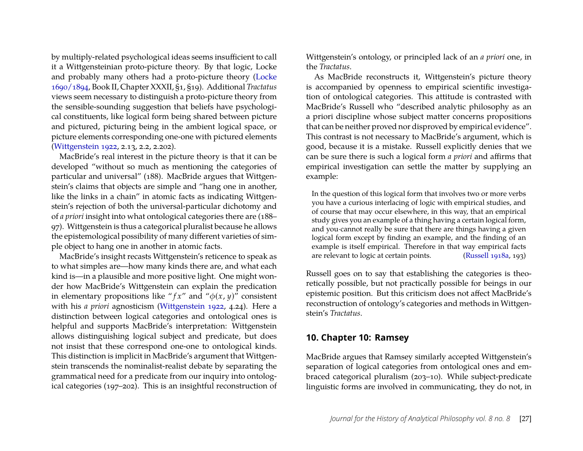by multiply-related psychological ideas seems insufficient to call it a Wittgensteinian proto-picture theory. By that logic, Locke and probably many others had a proto-picture theory [\(Locke](#page-18-11) [1690/1894,](#page-18-11) Book II, Chapter XXXII, §1, §19). Additional *Tractatus* views seem necessary to distinguish a proto-picture theory from the sensible-sounding suggestion that beliefs have psychological constituents, like logical form being shared between picture and pictured, picturing being in the ambient logical space, or picture elements corresponding one-one with pictured elements [\(Wittgenstein 1922,](#page-19-20) 2.13, 2.2, 2.202).

MacBride's real interest in the picture theory is that it can be developed "without so much as mentioning the categories of particular and universal" (188). MacBride argues that Wittgenstein's claims that objects are simple and "hang one in another, like the links in a chain" in atomic facts as indicating Wittgenstein's rejection of both the universal-particular dichotomy and of *a priori* insight into what ontological categories there are (188– 97). Wittgenstein is thus a categorical pluralist because he allows the epistemological possibility of many different varieties of simple object to hang one in another in atomic facts.

MacBride's insight recasts Wittgenstein's reticence to speak as to what simples are—how many kinds there are, and what each kind is—in a plausible and more positive light. One might wonder how MacBride's Wittgenstein can explain the predication in elementary propositions like " $f x$ " and " $\phi(x, y)$ " consistent with his *a priori* agnosticism [\(Wittgenstein 1922,](#page-19-20) 4.24). Here a distinction between logical categories and ontological ones is helpful and supports MacBride's interpretation: Wittgenstein allows distinguishing logical subject and predicate, but does not insist that these correspond one-one to ontological kinds. This distinction is implicit in MacBride's argument that Wittgenstein transcends the nominalist-realist debate by separating the grammatical need for a predicate from our inquiry into ontological categories (197–202). This is an insightful reconstruction of Wittgenstein's ontology, or principled lack of an *a priori* one, in the *Tractatus*.

As MacBride reconstructs it, Wittgenstein's picture theory is accompanied by openness to empirical scientific investigation of ontological categories. This attitude is contrasted with MacBride's Russell who "described analytic philosophy as an a priori discipline whose subject matter concerns propositions that can be neither proved nor disproved by empirical evidence". This contrast is not necessary to MacBride's argument, which is good, because it is a mistake. Russell explicitly denies that we can be sure there is such a logical form *a priori* and affirms that empirical investigation can settle the matter by supplying an example:

In the question of this logical form that involves two or more verbs you have a curious interlacing of logic with empirical studies, and of course that may occur elsewhere, in this way, that an empirical study gives you an example of a thing having a certain logical form, and you·cannot really be sure that there are things having a given logical form except by finding an example, and the finding of an example is itself empirical. Therefore in that way empirical facts are relevant to logic at certain points. [\(Russell 1918a,](#page-19-5) 193)

Russell goes on to say that establishing the categories is theoretically possible, but not practically possible for beings in our epistemic position. But this criticism does not affect MacBride's reconstruction of ontology's categories and methods in Wittgenstein's *Tractatus*.

#### **10. Chapter 10: Ramsey**

MacBride argues that Ramsey similarly accepted Wittgenstein's separation of logical categories from ontological ones and embraced categorical pluralism (203–10). While subject-predicate linguistic forms are involved in communicating, they do not, in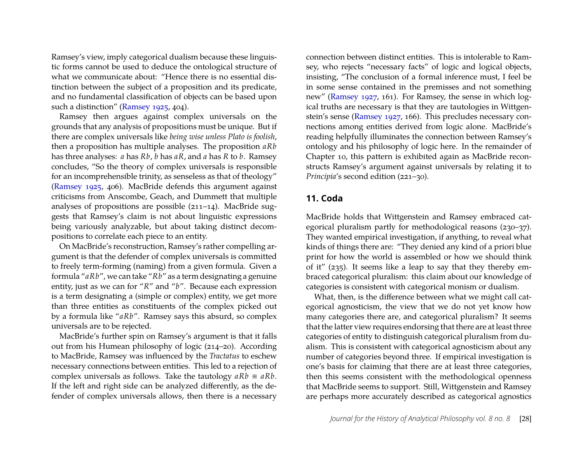Ramsey's view, imply categorical dualism because these linguistic forms cannot be used to deduce the ontological structure of what we communicate about: "Hence there is no essential distinction between the subject of a proposition and its predicate, and no fundamental classification of objects can be based upon such a distinction" [\(Ramsey 1925,](#page-19-21) 404).

Ramsey then argues against complex universals on the grounds that any analysis of propositions must be unique. But if there are complex universals like *being wise unless Plato is foolish*, then a proposition has multiple analyses. The proposition *aRb* has three analyses: *a* has *Rb*, *b* has *aR*, and *a* has *R* to *b*. Ramsey concludes, "So the theory of complex universals is responsible for an incomprehensible trinity, as senseless as that of theology" [\(Ramsey 1925,](#page-19-21) 406). MacBride defends this argument against criticisms from Anscombe, Geach, and Dummett that multiple analyses of propositions are possible (211–14). MacBride suggests that Ramsey's claim is not about linguistic expressions being variously analyzable, but about taking distinct decompositions to correlate each piece to an entity.

On MacBride's reconstruction, Ramsey's rather compelling argument is that the defender of complex universals is committed to freely term-forming (naming) from a given formula. Given a formula "*aRb*", we can take "*Rb*" as a term designating a genuine entity, just as we can for "*R*" and "*b*". Because each expression is a term designating a (simple or complex) entity, we get more than three entities as constituents of the complex picked out by a formula like "*aRb*". Ramsey says this absurd, so complex universals are to be rejected.

MacBride's further spin on Ramsey's argument is that it falls out from his Humean philosophy of logic (214–20). According to MacBride, Ramsey was influenced by the *Tractatus* to eschew necessary connections between entities. This led to a rejection of complex universals as follows. Take the tautology  $aRb \equiv aRb$ . If the left and right side can be analyzed differently, as the defender of complex universals allows, then there is a necessary

connection between distinct entities. This is intolerable to Ramsey, who rejects "necessary facts" of logic and logical objects, insisting, "The conclusion of a formal inference must, I feel be in some sense contained in the premisses and not something new" [\(Ramsey 1927,](#page-19-22) 161). For Ramsey, the sense in which logical truths are necessary is that they are tautologies in Wittgenstein's sense [\(Ramsey 1927,](#page-19-22) 166). This precludes necessary connections among entities derived from logic alone. MacBride's reading helpfully illuminates the connection between Ramsey's ontology and his philosophy of logic here. In the remainder of Chapter 10, this pattern is exhibited again as MacBride reconstructs Ramsey's argument against universals by relating it to *Principia*'s second edition (221–30).

#### **11. Coda**

MacBride holds that Wittgenstein and Ramsey embraced categorical pluralism partly for methodological reasons (230–37). They wanted empirical investigation, if anything, to reveal what kinds of things there are: "They denied any kind of a priori blue print for how the world is assembled or how we should think of it" (235). It seems like a leap to say that they thereby embraced categorical pluralism: this claim about our knowledge of categories is consistent with categorical monism or dualism.

What, then, is the difference between what we might call categorical agnosticism, the view that we do not yet know how many categories there are, and categorical pluralism? It seems that the latter view requires endorsing that there are at least three categories of entity to distinguish categorical pluralism from dualism. This is consistent with categorical agnosticism about any number of categories beyond three. If empirical investigation is one's basis for claiming that there are at least three categories, then this seems consistent with the methodological openness that MacBride seems to support. Still, Wittgenstein and Ramsey are perhaps more accurately described as categorical agnostics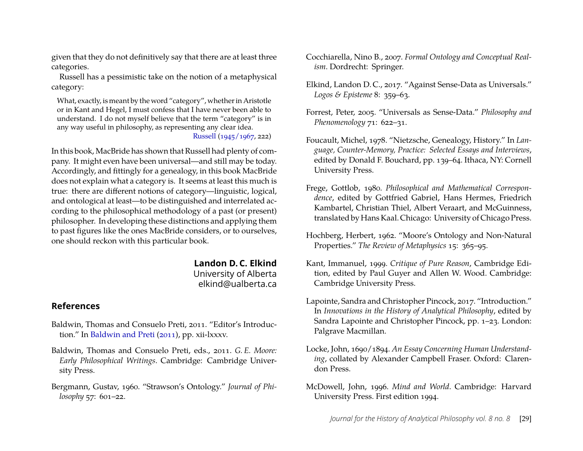given that they do not definitively say that there are at least three categories.

Russell has a pessimistic take on the notion of a metaphysical category:

What, exactly, is meant by the word "category", whether in Aristotle or in Kant and Hegel, I must confess that I have never been able to understand. I do not myself believe that the term "category" is in any way useful in philosophy, as representing any clear idea.

[Russell](#page-19-23) [\(1945/1967,](#page-19-23) 222)

In this book, MacBride has shown that Russell had plenty of company. It might even have been universal—and still may be today. Accordingly, and fittingly for a genealogy, in this book MacBride does not explain what a category is. It seems at least this much is true: there are different notions of category—linguistic, logical, and ontological at least—to be distinguished and interrelated according to the philosophical methodology of a past (or present) philosopher. In developing these distinctions and applying them to past figures like the ones MacBride considers, or to ourselves, one should reckon with this particular book.

> **Landon D. C. Elkind** University of Alberta elkind@ualberta.ca

#### **References**

- <span id="page-18-3"></span>Baldwin, Thomas and Consuelo Preti, 2011. "Editor's Introduction." In [Baldwin and Preti](#page-18-12) [\(2011\)](#page-18-12), pp. xii-lxxxv.
- <span id="page-18-12"></span>Baldwin, Thomas and Consuelo Preti, eds., 2011. *G. E. Moore: Early Philosophical Writings*. Cambridge: Cambridge University Press.
- <span id="page-18-9"></span>Bergmann, Gustav, 1960. "Strawson's Ontology." *Journal of Philosophy* 57: 601–22.
- <span id="page-18-6"></span>Cocchiarella, Nino B., 2007. *Formal Ontology and Conceptual Realism*. Dordrecht: Springer.
- <span id="page-18-8"></span>Elkind, Landon D. C., 2017. "Against Sense-Data as Universals." *Logos & Episteme* 8: 359–63.
- <span id="page-18-7"></span>Forrest, Peter, 2005. "Universals as Sense-Data." *Philosophy and Phenomenology* 71: 622–31.
- <span id="page-18-1"></span>Foucault, Michel, 1978. "Nietzsche, Genealogy, History." In *Language, Counter-Memory, Practice: Selected Essays and Interviews*, edited by Donald F. Bouchard, pp. 139–64. Ithaca, NY: Cornell University Press.
- <span id="page-18-10"></span>Frege, Gottlob, 1980. *Philosophical and Mathematical Correspondence*, edited by Gottfried Gabriel, Hans Hermes, Friedrich Kambartel, Christian Thiel, Albert Veraart, and McGuinness, translated by Hans Kaal. Chicago: University of Chicago Press.
- <span id="page-18-5"></span>Hochberg, Herbert, 1962. "Moore's Ontology and Non-Natural Properties." *The Review of Metaphysics* 15: 365–95.
- <span id="page-18-2"></span>Kant, Immanuel, 1999. *Critique of Pure Reason*, Cambridge Edition, edited by Paul Guyer and Allen W. Wood. Cambridge: Cambridge University Press.
- <span id="page-18-0"></span>Lapointe, Sandra and Christopher Pincock, 2017. "Introduction." In *Innovations in the History of Analytical Philosophy*, edited by Sandra Lapointe and Christopher Pincock, pp. 1–23. London: Palgrave Macmillan.
- <span id="page-18-11"></span>Locke, John, 1690/1894. *An Essay Concerning Human Understanding*, collated by Alexander Campbell Fraser. Oxford: Clarendon Press.
- <span id="page-18-4"></span>McDowell, John, 1996. *Mind and World*. Cambridge: Harvard University Press. First edition 1994.